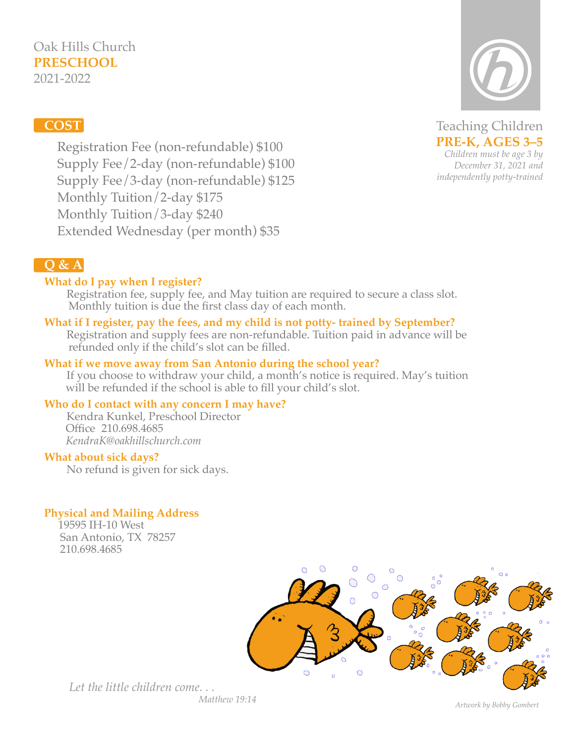# Oak Hills Church **PRESCHOOL**

2021-2022

# **COST**

Teaching Children **PRE-K, AGES 3–5** *Children must be age 3 by December 31, 2021 and independently potty-trained*

 Registration Fee (non-refundable) \$100 Supply Fee/2-day (non-refundable) \$100 Supply Fee/3-day (non-refundable) \$125 Monthly Tuition/2-day \$175 Monthly Tuition/3-day \$240 Extended Wednesday (per month) \$35

# **Q & A**

### **What do I pay when I register?**

 Registration fee, supply fee, and May tuition are required to secure a class slot. Monthly tuition is due the first class day of each month.

# **What if I register, pay the fees, and my child is not potty- trained by September?**

 Registration and supply fees are non-refundable. Tuition paid in advance will be refunded only if the child's slot can be filled.

### **What if we move away from San Antonio during the school year?**

 If you choose to withdraw your child, a month's notice is required. May's tuition will be refunded if the school is able to fill your child's slot.

### **Who do I contact with any concern I may have?**

 Kendra Kunkel, Preschool Director Office 210.698.4685 *KendraK@oakhillschurch.com*

### **What about sick days?**

No refund is given for sick days.

### **Physical and Mailing Address**

 19595 IH-10 West San Antonio, TX 78257 210.698.4685



*Let the little children come. . . Matthew 19:14*

*Artwork by Bobby Gombert*